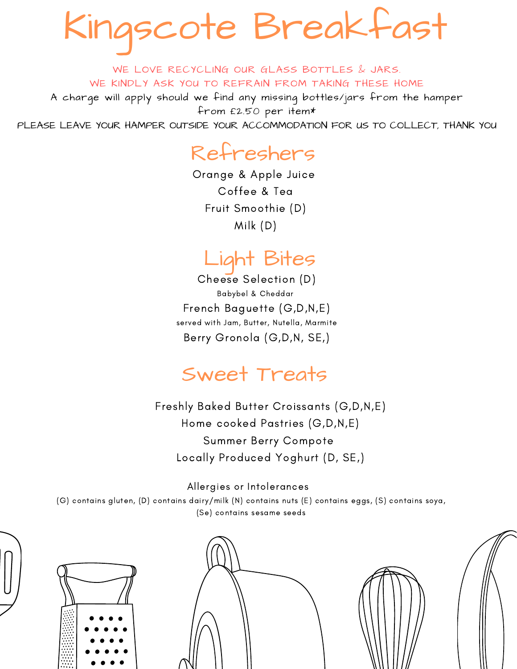Kingscote Breakfast

WE LOVE RECYCLING OUR GLASS BOTTLES & JARS. WE KINDLY ASK YOU TO REFRAIN FROM TAKING THESE HOME

A charge will apply should we find any missing bottles/jars from the hamper from £2.50 per item\*

PLEASE LEAVE YOUR HAMPER OUTSIDE YOUR ACCOMMODATION FOR US TO COLLECT, THANK YOU

## Refreshers

Orange & Apple Juice Coffee & Tea Fruit Smoothie (D) Milk (D)

## Light Bites

Cheese Selection (D) Babybel & Cheddar French Baguette (G,D,N,E) served with Jam, Butter, Nutella, Marmite Berry Gronola (G,D,N, SE,)

## Sweet Treats

Freshly Baked Butter Croissants (G,D,N,E) Home cooked Pastries (G,D,N,E) Summer Berry Compote Locally Produced Yoghurt (D, SE,)

#### Allergies or Intolerances

(G) contains gluten, (D) contains dairy/milk (N) contains nuts (E) contains eggs, (S) contains soya, (Se) contains sesame seeds